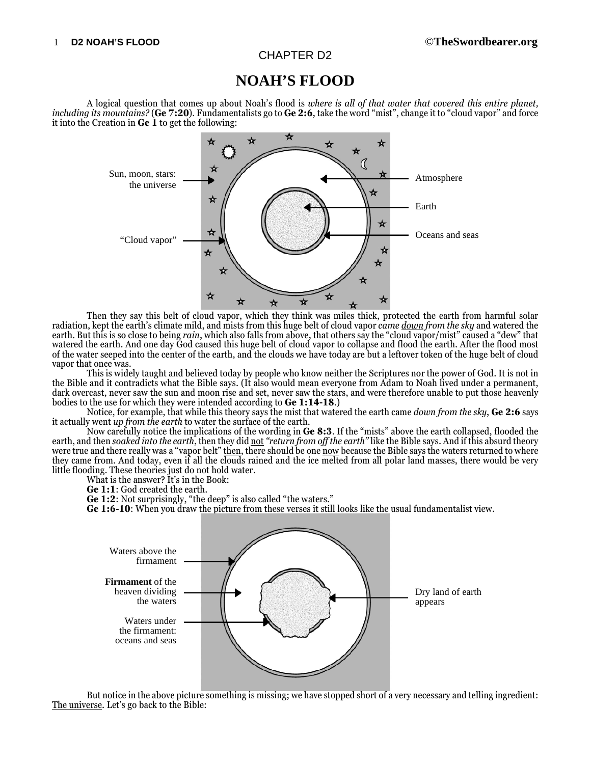## CHAPTER D2

# **NOAH'S FLOOD**

A logical question that comes up about Noah's flood is *where is all of that water that covered this entire planet, including its mountains?* (**Ge 7:20**). Fundamentalists go to **Ge 2:6**, take the word "mist", change it to "cloud vapor" and force it into the Creation in **Ge 1** to get the following:



Then they say this belt of cloud vapor, which they think was miles thick, protected the earth from harmful solar radiation, kept the earth's climate mild, and mists from this huge belt of cloud vapor *came down from the sky* and watered the earth. But this is so close to being *rain*, which also falls from above, that others say the "cloud vapor/mist" caused a "dew" that watered the earth. And one day God caused this huge belt of cloud vapor to collapse and flood the earth. After the flood most of the water seeped into the center of the earth, and the clouds we have today are but a leftover token of the huge belt of cloud vapor that once was.

This is widely taught and believed today by people who know neither the Scriptures nor the power of God. It is not in the Bible and it contradicts what the Bible says. (It also would mean everyone from Adam to Noah lived under a permanent, dark overcast, never saw the sun and moon rise and set, never saw the stars, and were therefore unable to put those heavenly bodies to the use for which they were intended according to **Ge 1:14-18**.)

Notice, for example, that while this theory says the mist that watered the earth came *down from the sky*, **Ge 2:6** says it actually went *up from the earth* to water the surface of the earth.

Now carefully notice the implications of the wording in **Ge 8:3**. If the "mists" above the earth collapsed, flooded the earth, and then *soaked into the earth*, then they did not *"return from off the earth"* like the Bible says. And if this absurd theory were true and there really was a "vapor belt" then, there should be one now because the Bible says the waters returned to where they came from. And today, even if all the clouds rained and the ice melted from all polar land masses, there would be very little flooding. These theories just do not hold water.

What is the answer? It's in the Book:

**Ge 1:1**: God created the earth.

**Ge 1:2**: Not surprisingly, "the deep" is also called "the waters."

**Ge 1:6-10**: When you draw the picture from these verses it still looks like the usual fundamentalist view.



But notice in the above picture something is missing; we have stopped short of a very necessary and telling ingredient: The universe. Let's go back to the Bible: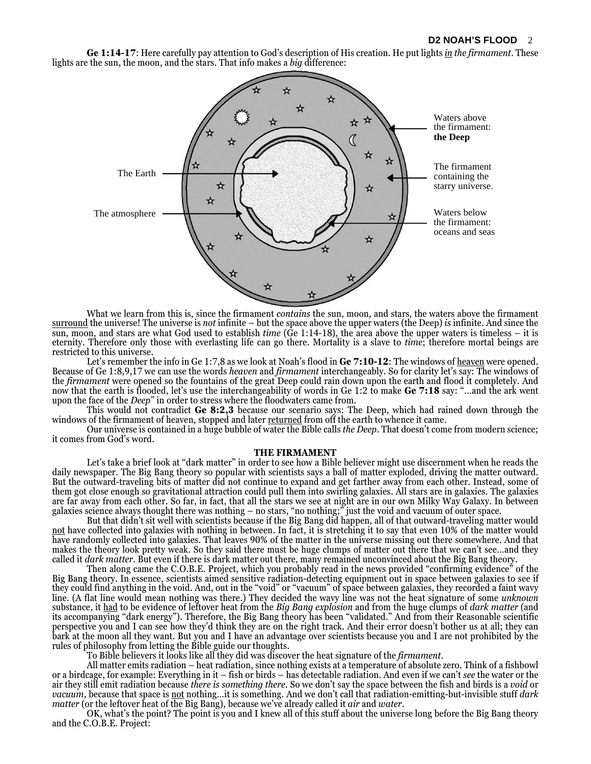**Ge 1:14-17**: Here carefully pay attention to God's description of His creation. He put lights *in the firmament*. These lights are the sun, the moon, and the stars. That info makes a *big* difference:



What we learn from this is, since the firmament *contains* the sun, moon, and stars, the waters above the firmament surround the universe! The universe is *not* infinite – but the space above the upper waters (the Deep) *is* infinite. And since the sun, moon, and stars are what God used to establish *time* (Ge 1:14-18), the area above the upper waters is timeless – it is eternity. Therefore only those with everlasting life can go there. Mortality is a slave to *time*; therefore mortal beings are restricted to this universe.

Let's remember the info in Ge 1:7,8 as we look at Noah's flood in Ge 7:10-12: The windows of heaven were opened. Because of Ge 1:8,9,17 we can use the words *heaven* and *firmament* interchangeably. So for clarity let's say: The windows of the *firmament* were opened so the fountains of the great Deep could rain down upon the earth and flood it completely. And now that the earth is flooded, let's use the interchangeability of words in Ge 1:2 to make **Ge 7:18** say: "…and the ark went upon the face of the *Deep*" in order to stress where the floodwaters came from.

This would not contradict **Ge 8:2,3** because our scenario says: The Deep, which had rained down through the windows of the firmament of heaven, stopped and later <u>returned</u> from off the earth to whence it came.

Our universe is contained in a huge bubble of water the Bible calls *the Deep*. That doesn't come from modern science; it comes from God's word.

#### **THE FIRMAMENT**

Let's take a brief look at "dark matter" in order to see how a Bible believer might use discernment when he reads the daily newspaper. The Big Bang theory so popular with scientists says a ball of matter exploded, driving the matter outward. But the outward-traveling bits of matter did not continue to expand and get farther away from each other. Instead, some of them got close enough so gravitational attraction could pull them into swirling galaxies. All stars are in galaxies. The galaxies are far away from each other. So far, in fact, that all the stars we see at night are in our own Milky Way Galaxy. In between galaxies science always thought there was nothing – no stars, "no nothing;" just the void and vacuum of outer space.

But that didn't sit well with scientists because if the Big Bang did happen, all of that outward-traveling matter would not have collected into galaxies with nothing in between. In fact, it is stretching it to say that even 10% of the matter would have randomly collected into galaxies. That leaves 90% of the matter in the universe missing out there somewhere. And that makes the theory look pretty weak. So they said there must be huge clumps of matter out there that we can't see…and they called it *dark matter*. But even if there is dark matter out there, many remained unconvinced about the Big Bang theory.

Then along came the C.O.B.E. Project, which you probably read in the news provided "confirming evidence" of the Big Bang theory. In essence, scientists aimed sensitive radiation-detecting equipment out in space between galaxies to see if they could find anything in the void. And, out in the "void" or "vacuum" of space between galaxies, they recorded a faint wavy line. (A flat line would mean nothing was there.) They decided the wavy line was not the heat signature of some *unknown* substance, it had to be evidence of leftover heat from the *Big Bang explosion* and from the huge clumps of *dark matter* (and its accompanying "dark energy"). Therefore, the Big Bang theory has been "validated." And from their Reasonable scientific perspective you and I can see how they'd think they are on the right track. And their error doesn't bother us at all; they can bark at the moon all they want. But you and I have an advantage over scientists because you and I are not prohibited by the rules of philosophy from letting the Bible guide our thoughts.

To Bible believers it looks like all they did was discover the heat signature of the *firmament*.

All matter emits radiation – heat radiation, since nothing exists at a temperature of absolute zero. Think of a fishbowl or a birdcage, for example: Everything in it – fish or birds – has detectable radiation. And even if we can't *see* the water or the air they still emit radiation because *there is something there*. So we don't say the space between the fish and birds is a *void* or *vacuum,* because that space is not nothing…it is something. And we don't call that radiation-emitting-but-invisible stuff *dark matter* (or the leftover heat of the Big Bang), because we've already called it *air* and *water*.

OK, what's the point? The point is you and I knew all of this stuff about the universe long before the Big Bang theory and the C.O.B.E. Project: